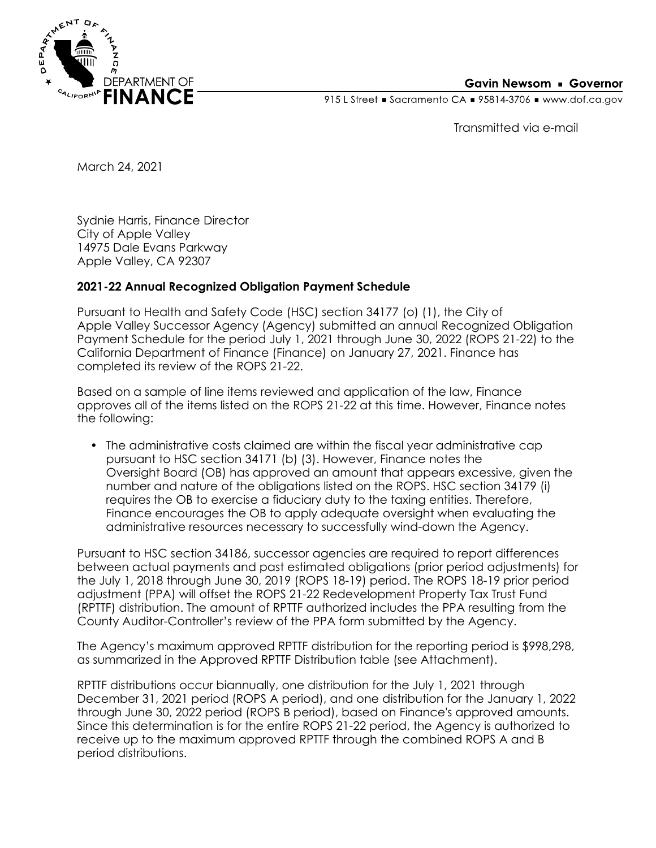

## **Gavin Newsom • Governor**

915 L Street Gacramento CA = 95814-3706 Www.dof.ca.gov

Transmitted via e-mail

March 24, 2021

Sydnie Harris, Finance Director City of Apple Valley 14975 Dale Evans Parkway Apple Valley, CA 92307

## **2021-22 Annual Recognized Obligation Payment Schedule**

Pursuant to Health and Safety Code (HSC) section 34177 (o) (1), the City of Apple Valley Successor Agency (Agency) submitted an annual Recognized Obligation Payment Schedule for the period July 1, 2021 through June 30, 2022 (ROPS 21-22) to the California Department of Finance (Finance) on January 27, 2021. Finance has completed its review of the ROPS 21-22.

Based on a sample of line items reviewed and application of the law, Finance approves all of the items listed on the ROPS 21-22 at this time. However, Finance notes the following:

• The administrative costs claimed are within the fiscal year administrative cap pursuant to HSC section 34171 (b) (3). However, Finance notes the Oversight Board (OB) has approved an amount that appears excessive, given the number and nature of the obligations listed on the ROPS. HSC section 34179 (i) requires the OB to exercise a fiduciary duty to the taxing entities. Therefore, Finance encourages the OB to apply adequate oversight when evaluating the administrative resources necessary to successfully wind-down the Agency.

Pursuant to HSC section 34186, successor agencies are required to report differences between actual payments and past estimated obligations (prior period adjustments) for the July 1, 2018 through June 30, 2019 (ROPS 18-19) period. The ROPS 18-19 prior period adjustment (PPA) will offset the ROPS 21-22 Redevelopment Property Tax Trust Fund (RPTTF) distribution. The amount of RPTTF authorized includes the PPA resulting from the County Auditor-Controller's review of the PPA form submitted by the Agency.

The Agency's maximum approved RPTTF distribution for the reporting period is \$998,298, as summarized in the Approved RPTTF Distribution table (see Attachment).

RPTTF distributions occur biannually, one distribution for the July 1, 2021 through December 31, 2021 period (ROPS A period), and one distribution for the January 1, 2022 through June 30, 2022 period (ROPS B period), based on Finance's approved amounts. Since this determination is for the entire ROPS 21-22 period, the Agency is authorized to receive up to the maximum approved RPTTF through the combined ROPS A and B period distributions.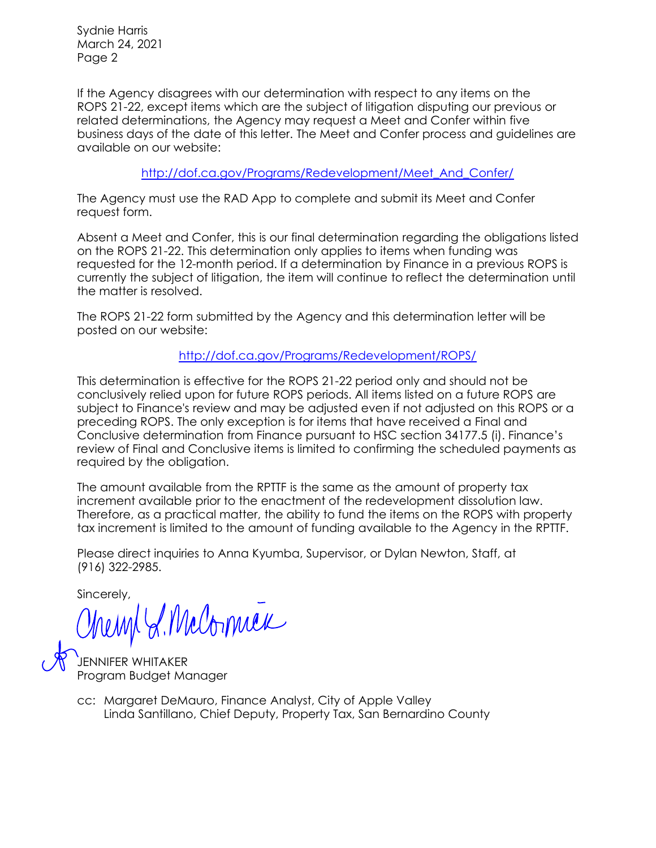Sydnie Harris March 24, 2021 Page 2

If the Agency disagrees with our determination with respect to any items on the ROPS 21-22, except items which are the subject of litigation disputing our previous or related determinations, the Agency may request a Meet and Confer within five business days of the date of this letter. The Meet and Confer process and guidelines are available on our website:

[http://dof.ca.gov/Programs/Redevelopment/Meet\\_And\\_Confer/](http://dof.ca.gov/Programs/Redevelopment/Meet_And_Confer/) 

The Agency must use the RAD App to complete and submit its Meet and Confer request form.

Absent a Meet and Confer, this is our final determination regarding the obligations listed on the ROPS 21-22. This determination only applies to items when funding was requested for the 12-month period. If a determination by Finance in a previous ROPS is currently the subject of litigation, the item will continue to reflect the determination until the matter is resolved.

The ROPS 21-22 form submitted by the Agency and this determination letter will be posted on our website:

<http://dof.ca.gov/Programs/Redevelopment/ROPS/>

This determination is effective for the ROPS 21-22 period only and should not be conclusively relied upon for future ROPS periods. All items listed on a future ROPS are subject to Finance's review and may be adjusted even if not adjusted on this ROPS or a preceding ROPS. The only exception is for items that have received a Final and Conclusive determination from Finance pursuant to HSC section 34177.5 (i). Finance's review of Final and Conclusive items is limited to confirming the scheduled payments as required by the obligation.

The amount available from the RPTTF is the same as the amount of property tax increment available prior to the enactment of the redevelopment dissolution law. Therefore, as a practical matter, the ability to fund the items on the ROPS with property tax increment is limited to the amount of funding available to the Agency in the RPTTF.

Please direct inquiries to Anna Kyumba, Supervisor, or Dylan Newton, Staff, at (916) 322-2985.

Sincerely,

McCorniex

FNNIFFR WHITAKFR Program Budget Manager

Linda Santillano, Chief Deputy, Property Tax, San Bernardino County cc: Margaret DeMauro, Finance Analyst, City of Apple Valley